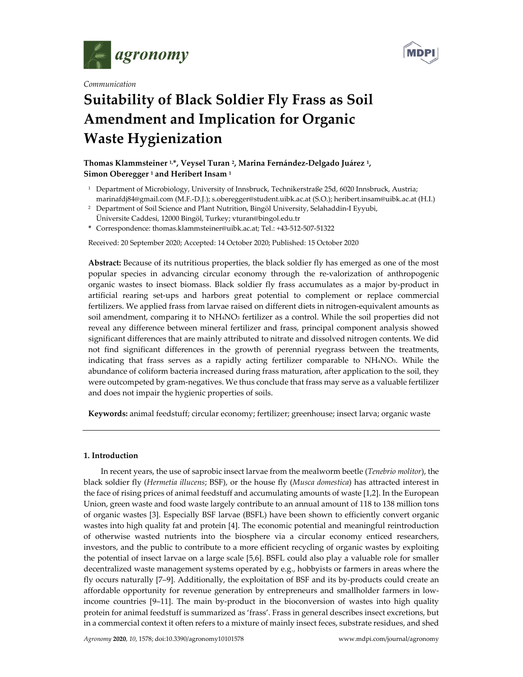

*Communication*



# **Suitability of Black Soldier Fly Frass as Soil Amendment and Implication for Organic Waste Hygienization**

# **Thomas Klammsteiner 1,\*, Veysel Turan 2, Marina Fernández‐Delgado Juárez 1, Simon Oberegger <sup>1</sup> and Heribert Insam <sup>1</sup>**

- <sup>1</sup> Department of Microbiology, University of Innsbruck, Technikerstraße 25d, 6020 Innsbruck, Austria; marinafdj84@gmail.com (M.F.‐D.J.); s.oberegger@student.uibk.ac.at (S.O.); heribert.insam@uibk.ac.at (H.I.)
- <sup>2</sup> Department of Soil Science and Plant Nutrition, Bingöl University, Selahaddin-I Eyyubi, Üniversite Caddesi, 12000 Bingöl, Turkey; vturan@bingol.edu.tr
- **\*** Correspondence: thomas.klammsteiner@uibk.ac.at; Tel.: +43‐512‐507‐51322

Received: 20 September 2020; Accepted: 14 October 2020; Published: 15 October 2020

**Abstract:** Because of its nutritious properties, the black soldier fly has emerged as one of the most popular species in advancing circular economy through the re‐valorization of anthropogenic organic wastes to insect biomass. Black soldier fly frass accumulates as a major by‐product in artificial rearing set‐ups and harbors great potential to complement or replace commercial fertilizers. We applied frass from larvae raised on different diets in nitrogen‐equivalent amounts as soil amendment, comparing it to NH4NO3 fertilizer as a control. While the soil properties did not reveal any difference between mineral fertilizer and frass, principal component analysis showed significant differences that are mainly attributed to nitrate and dissolved nitrogen contents. We did not find significant differences in the growth of perennial ryegrass between the treatments, indicating that frass serves as a rapidly acting fertilizer comparable to NH4NO3. While the abundance of coliform bacteria increased during frass maturation, after application to the soil, they were outcompeted by gram-negatives. We thus conclude that frass may serve as a valuable fertilizer and does not impair the hygienic properties of soils.

**Keywords:** animal feedstuff; circular economy; fertilizer; greenhouse; insect larva; organic waste

## **1. Introduction**

In recent years, the use of saprobic insect larvae from the mealworm beetle (*Tenebrio molitor*), the black soldier fly (*Hermetia illucens*; BSF), or the house fly (*Musca domestica*) has attracted interest in the face of rising prices of animal feedstuff and accumulating amounts of waste [1,2]. In the European Union, green waste and food waste largely contribute to an annual amount of 118 to 138 million tons of organic wastes [3]. Especially BSF larvae (BSFL) have been shown to efficiently convert organic wastes into high quality fat and protein [4]. The economic potential and meaningful reintroduction of otherwise wasted nutrients into the biosphere via a circular economy enticed researchers, investors, and the public to contribute to a more efficient recycling of organic wastes by exploiting the potential of insect larvae on a large scale [5,6]. BSFL could also play a valuable role for smaller decentralized waste management systems operated by e.g., hobbyists or farmers in areas where the fly occurs naturally [7–9]. Additionally, the exploitation of BSF and its by‐products could create an affordable opportunity for revenue generation by entrepreneurs and smallholder farmers in low‐ income countries [9–11]. The main by‐product in the bioconversion of wastes into high quality protein for animal feedstuff is summarized as 'frass'. Frass in general describes insect excretions, but in a commercial context it often refers to a mixture of mainly insect feces, substrate residues, and shed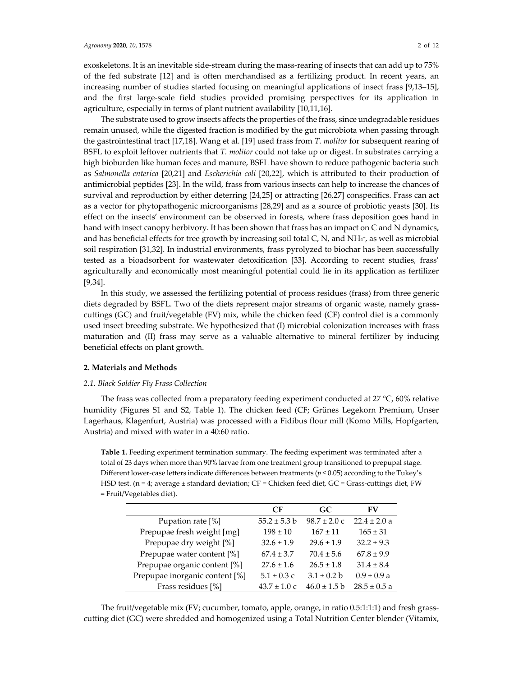exoskeletons. It is an inevitable side-stream during the mass-rearing of insects that can add up to 75% of the fed substrate [12] and is often merchandised as a fertilizing product. In recent years, an increasing number of studies started focusing on meaningful applications of insect frass [9,13–15], and the first large‐scale field studies provided promising perspectives for its application in agriculture, especially in terms of plant nutrient availability [10,11,16].

The substrate used to grow insects affects the properties of the frass, since undegradable residues remain unused, while the digested fraction is modified by the gut microbiota when passing through the gastrointestinal tract [17,18]. Wang et al. [19] used frass from *T. molitor* for subsequent rearing of BSFL to exploit leftover nutrients that *T. molitor* could not take up or digest. In substrates carrying a high bioburden like human feces and manure, BSFL have shown to reduce pathogenic bacteria such as *Salmonella enterica* [20,21] and *Escherichia coli* [20,22], which is attributed to their production of antimicrobial peptides [23]. In the wild, frass from various insects can help to increase the chances of survival and reproduction by either deterring [24,25] or attracting [26,27] conspecifics. Frass can act as a vector for phytopathogenic microorganisms [28,29] and as a source of probiotic yeasts [30]. Its effect on the insects' environment can be observed in forests, where frass deposition goes hand in hand with insect canopy herbivory. It has been shown that frass has an impact on C and N dynamics, and has beneficial effects for tree growth by increasing soil total  $C$ ,  $N$ , and  $NH<sub>4</sub>$ , as well as microbial soil respiration [31,32]. In industrial environments, frass pyrolyzed to biochar has been successfully tested as a bioadsorbent for wastewater detoxification [33]. According to recent studies, frass' agriculturally and economically most meaningful potential could lie in its application as fertilizer [9,34].

In this study, we assessed the fertilizing potential of process residues (frass) from three generic diets degraded by BSFL. Two of the diets represent major streams of organic waste, namely grasscuttings (GC) and fruit/vegetable (FV) mix, while the chicken feed (CF) control diet is a commonly used insect breeding substrate. We hypothesized that (I) microbial colonization increases with frass maturation and (II) frass may serve as a valuable alternative to mineral fertilizer by inducing beneficial effects on plant growth.

# **2. Materials and Methods**

#### *2.1. Black Soldier Fly Frass Collection*

The frass was collected from a preparatory feeding experiment conducted at 27  $^{\circ}$ C, 60% relative humidity (Figures S1 and S2, Table 1). The chicken feed (CF; Grünes Legekorn Premium, Unser Lagerhaus, Klagenfurt, Austria) was processed with a Fidibus flour mill (Komo Mills, Hopfgarten, Austria) and mixed with water in a 40:60 ratio.

**Table 1.** Feeding experiment termination summary. The feeding experiment was terminated after a total of 23 days when more than 90% larvae from one treatment group transitioned to prepupal stage. Different lower-case letters indicate differences between treatments ( $p \le 0.05$ ) according to the Tukey's HSD test. (n = 4; average ± standard deviation; CF = Chicken feed diet, GC = Grass-cuttings diet, FW = Fruit/Vegetables diet).

|                                | CF               | GC.                      | FV               |
|--------------------------------|------------------|--------------------------|------------------|
| Pupation rate [%]              | $55.2 \pm 5.3 b$ | $98.7 \pm 2.0 \text{ c}$ | $22.4 \pm 2.0 a$ |
| Prepupae fresh weight [mg]     | $198 \pm 10$     | $167 \pm 11$             | $165 \pm 31$     |
| Prepupae dry weight [%]        | $32.6 \pm 1.9$   | $29.6 \pm 1.9$           | $32.2 \pm 9.3$   |
| Prepupae water content [%]     | $67.4 \pm 3.7$   | $70.4 \pm 5.6$           | $67.8 \pm 9.9$   |
| Prepupae organic content [%]   | $27.6 \pm 1.6$   | $26.5 \pm 1.8$           | $31.4 \pm 8.4$   |
| Prepupae inorganic content [%] | $5.1 \pm 0.3$ c  | $3.1 \pm 0.2$ b          | $0.9 \pm 0.9 a$  |
| Frass residues [%]             | $43.7 \pm 1.0$ c | $46.0 \pm 1.5 b$         | $28.5 \pm 0.5$ a |

The fruit/vegetable mix (FV; cucumber, tomato, apple, orange, in ratio 0.5:1:1:1) and fresh grass‐ cutting diet (GC) were shredded and homogenized using a Total Nutrition Center blender (Vitamix,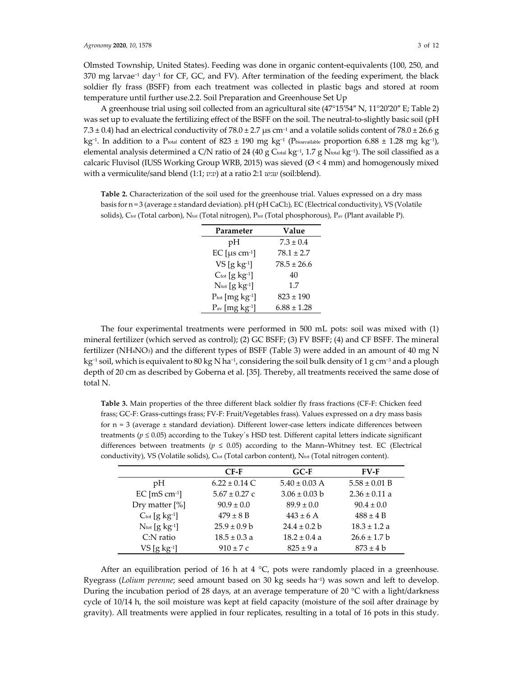Olmsted Township, United States). Feeding was done in organic content‐equivalents (100, 250, and 370 mg larvae−<sup>1</sup> day−<sup>1</sup> for CF, GC, and FV). After termination of the feeding experiment, the black soldier fly frass (BSFF) from each treatment was collected in plastic bags and stored at room temperature until further use.2.2. Soil Preparation and Greenhouse Set Up

A greenhouse trial using soil collected from an agricultural site (47°15′54″ N, 11°20′20″ E; Table 2) was set up to evaluate the fertilizing effect of the BSFF on the soil. The neutral-to-slightly basic soil (pH 7.3 ± 0.4) had an electrical conductivity of 78.0 ± 2.7 µs cm<sup>-1</sup> and a volatile solids content of 78.0 ± 26.6 g kg−1. In addition to a Ptotal content of 823 ± 190 mg kg−<sup>1</sup> (Pbioavailable proportion 6.88 ± 1.28 mg kg−1), elemental analysis determined a C/N ratio of 24 (40 g Ctotal kg<sup>-1</sup>, 1.7 g Ntotal kg<sup>-1</sup>). The soil classified as a calcaric Fluvisol (IUSS Working Group WRB, 2015) was sieved ( $\varnothing$  < 4 mm) and homogenously mixed with a vermiculite/sand blend (1:1; *v*:*v*) at a ratio 2:1 *w*:*w* (soil:blend).

**Table 2.** Characterization of the soil used for the greenhouse trial. Values expressed on a dry mass basis for  $n = 3$  (average  $\pm$  standard deviation). pH (pH CaCl2), EC (Electrical conductivity), VS (Volatile solids), C<sub>tot</sub> (Total carbon), N<sub>tot</sub> (Total nitrogen), P<sub>tot</sub> (Total phosphorous), P<sub>av</sub> (Plant available P).

| Parameter                              | Value           |  |  |
|----------------------------------------|-----------------|--|--|
| рH                                     | $7.3 \pm 0.4$   |  |  |
| EC [ $\mu$ s cm <sup>-1</sup> ]        | $78.1 \pm 2.7$  |  |  |
| $VS$ [g kg-1]                          | $78.5 \pm 26.6$ |  |  |
| $C_{tot}$ [g kg-1]                     | 40              |  |  |
| $N_{\text{tot}}$ [g kg <sup>-1</sup> ] | 1.7             |  |  |
| $P_{\text{tot}}$ [mg $kg^{-1}$ ]       | $823 \pm 190$   |  |  |
| $Pav$ [mg kg <sup>-1</sup> ]           | $6.88 \pm 1.28$ |  |  |

The four experimental treatments were performed in 500 mL pots: soil was mixed with (1) mineral fertilizer (which served as control); (2) GC BSFF; (3) FV BSFF; (4) and CF BSFF. The mineral fertilizer (NH4NO3) and the different types of BSFF (Table 3) were added in an amount of 40 mg N kg<sup>-1</sup> soil, which is equivalent to 80 kg N ha<sup>-1</sup>, considering the soil bulk density of 1 g cm<sup>-3</sup> and a plough depth of 20 cm as described by Goberna et al. [35]. Thereby, all treatments received the same dose of total N.

**Table 3.** Main properties of the three different black soldier fly frass fractions (CF‐F: Chicken feed frass; GC‐F: Grass‐cuttings frass; FV‐F: Fruit/Vegetables frass). Values expressed on a dry mass basis for  $n = 3$  (average  $\pm$  standard deviation). Different lower-case letters indicate differences between treatments ( $p \le 0.05$ ) according to the Tukey's HSD test. Different capital letters indicate significant differences between treatments ( $p \le 0.05$ ) according to the Mann–Whitney test. EC (Electrical conductivity), VS (Volatile solids), Ctot (Total carbon content), Ntot (Total nitrogen content).

|                                        | $CF-F$            | $G C-F$           | $FV-F$            |
|----------------------------------------|-------------------|-------------------|-------------------|
| pH                                     | $6.22 \pm 0.14$ C | $5.40 \pm 0.03$ A | $5.58 \pm 0.01$ B |
| $EC$ [mS cm-1]                         | $5.67 \pm 0.27$ c | $3.06 \pm 0.03$ b | $2.36 \pm 0.11$ a |
| Dry matter $[\%]$                      | $90.9 \pm 0.0$    | $89.9 \pm 0.0$    | $90.4 \pm 0.0$    |
| $C_{\text{tot}}$ [g kg <sup>-1</sup> ] | $479 \pm 8$ B     | $443 \pm 6$ A     | $488 \pm 4 B$     |
| $N_{\text{tot}}$ [g kg <sup>-1</sup> ] | $25.9 \pm 0.9$ b  | $24.4 \pm 0.2$ b  | $18.3 \pm 1.2 a$  |
| $C:$ N ratio                           | $18.5 \pm 0.3 a$  | $18.2 \pm 0.4$ a  | $26.6 \pm 1.7$ b  |
| $VS$ [g kg <sup>-1</sup> ]             | $910 \pm 7c$      | $825 \pm 9a$      | $873 \pm 4$ b     |

After an equilibration period of 16 h at 4  $^{\circ}$ C, pots were randomly placed in a greenhouse. Ryegrass (*Lolium perenne*; seed amount based on 30 kg seeds ha−1) was sown and left to develop. During the incubation period of 28 days, at an average temperature of 20 °C with a light/darkness cycle of 10/14 h, the soil moisture was kept at field capacity (moisture of the soil after drainage by gravity). All treatments were applied in four replicates, resulting in a total of 16 pots in this study.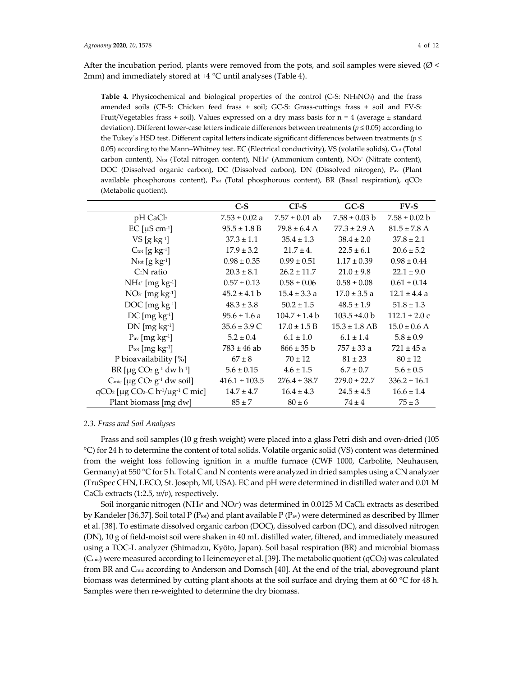After the incubation period, plants were removed from the pots, and soil samples were sieved ( $\varnothing$  < 2mm) and immediately stored at +4 °C until analyses (Table 4).

**Table 4.** Physicochemical and biological properties of the control (C‐S: NH4NO3) and the frass amended soils (CF-S: Chicken feed frass + soil; GC-S: Grass-cuttings frass + soil and FV-S: Fruit/Vegetables frass + soil). Values expressed on a dry mass basis for  $n = 4$  (average  $\pm$  standard deviation). Different lower‐case letters indicate differences between treatments (*p* ≤ 0.05) according to the Tukey´s HSD test. Different capital letters indicate significant differences between treatments (*p* ≤ 0.05) according to the Mann–Whitney test. EC (Electrical conductivity), VS (volatile solids),  $C_{\text{tot}}$  (Total carbon content), N<sub>tot</sub> (Total nitrogen content), NH<sub>4</sub><sup>+</sup> (Ammonium content), NO<sub>3</sub><sup>−</sup> (Nitrate content), DOC (Dissolved organic carbon), DC (Dissolved carbon), DN (Dissolved nitrogen), Pav (Plant available phosphorous content),  $P_{tot}$  (Total phosphorous content), BR (Basal respiration),  $qCO<sub>2</sub>$ (Metabolic quotient).

|                                                                        | $C-S$             | $CF-S$             | $GC-S$            | $FV-S$            |
|------------------------------------------------------------------------|-------------------|--------------------|-------------------|-------------------|
| pH CaCl2                                                               | $7.53 \pm 0.02$ a | $7.57 \pm 0.01$ ab | $7.58 \pm 0.03$ b | $7.58 \pm 0.02$ b |
| EC [ $\mu$ S cm <sup>-1</sup> ]                                        | $95.5 \pm 1.8 B$  | $79.8 \pm 6.4$ A   | $77.3 \pm 2.9$ A  | $81.5 \pm 7.8$ A  |
| $VS$ [g kg <sup>-1</sup> ]                                             | $37.3 \pm 1.1$    | $35.4 \pm 1.3$     | $38.4 \pm 2.0$    | $37.8 \pm 2.1$    |
| $C_{tot}$ [g $kg^{-1}$ ]                                               | $17.9 \pm 3.2$    | $21.7 \pm 4.$      | $22.5 \pm 6.1$    | $20.6 \pm 5.2$    |
| $N_{\text{tot}}$ [g kg <sup>-1</sup> ]                                 | $0.98 \pm 0.35$   | $0.99 \pm 0.51$    | $1.17 \pm 0.39$   | $0.98 \pm 0.44$   |
| $C:$ N ratio                                                           | $20.3 \pm 8.1$    | $26.2 \pm 11.7$    | $21.0 \pm 9.8$    | $22.1 \pm 9.0$    |
| $NH4+ [mg kg-1]$                                                       | $0.57 \pm 0.13$   | $0.58 \pm 0.06$    | $0.58 \pm 0.08$   | $0.61 \pm 0.14$   |
| $NO3$ [mg kg <sup>-1</sup> ]                                           | $45.2 \pm 4.1 b$  | $15.4 \pm 3.3 a$   | $17.0 \pm 3.5$ a  | $12.1 \pm 4.4$ a  |
| $DOC[mgkg-1]$                                                          | $48.3 \pm 3.8$    | $50.2 \pm 1.5$     | $48.5 \pm 1.9$    | $51.8 \pm 1.3$    |
| $DC$ [mg kg <sup>-1</sup> ]                                            | $95.6 \pm 1.6$ a  | $104.7 \pm 1.4$ b  | $103.5 \pm 4.0 b$ | $112.1 \pm 2.0$ c |
| $DN$ [mg $kg^{-1}$ ]                                                   | $35.6 \pm 3.9$ C  | $17.0 \pm 1.5 B$   | $15.3 \pm 1.8$ AB | $15.0 \pm 0.6$ A  |
| $P_{av}$ [mg kg-1]                                                     | $5.2 \pm 0.4$     | $6.1 \pm 1.0$      | $6.1 \pm 1.4$     | $5.8 \pm 0.9$     |
| $P_{tot}$ [mg $kg^{-1}$ ]                                              | $783 \pm 46$ ab   | $866 \pm 35$ b     | $757 \pm 33$ a    | $721 \pm 45$ a    |
| P bioavailability [%]                                                  | $67 \pm 8$        | $70 \pm 12$        | $81 \pm 23$       | $80 \pm 12$       |
| BR [ $\mu$ g CO <sub>2</sub> g <sup>-1</sup> dw h <sup>-1</sup> ]      | $5.6 \pm 0.15$    | $4.6 \pm 1.5$      | $6.7 \pm 0.7$     | $5.6 \pm 0.5$     |
| $C_{\text{mic}}$ [µg $CO_2$ g <sup>-1</sup> dw soil]                   | $416.1 \pm 103.5$ | $276.4 \pm 38.7$   | $279.0 \pm 22.7$  | $336.2 \pm 16.1$  |
| $qCO2$ [µg CO <sub>2</sub> -C h <sup>-1</sup> /µg <sup>-1</sup> C mic] | $14.7 \pm 4.7$    | $16.4 \pm 4.3$     | $24.5 \pm 4.5$    | $16.6 \pm 1.4$    |
| Plant biomass [mg dw]                                                  | $85 \pm 7$        | $80 \pm 6$         | $74 \pm 4$        | $75 \pm 3$        |

#### *2.3. Frass and Soil Analyses*

Frass and soil samples (10 g fresh weight) were placed into a glass Petri dish and oven-dried (105 °C) for 24 h to determine the content of total solids. Volatile organic solid (VS) content was determined from the weight loss following ignition in a muffle furnace (CWF 1000, Carbolite, Neuhausen, Germany) at 550 °C for 5 h. Total C and N contents were analyzed in dried samples using a CN analyzer (TruSpec CHN, LECO, St. Joseph, MI, USA). EC and pH were determined in distilled water and 0.01 M CaCl2 extracts (1:2.5, *w*/*v*), respectively.

Soil inorganic nitrogen (NH<sub>4</sub>+ and NO<sub>3</sub>−) was determined in 0.0125 M CaCl2 extracts as described by Kandeler [36,37]. Soil total P ( $P_{\text{tot}}$ ) and plant available P ( $P_{\text{av}}$ ) were determined as described by Illmer et al. [38]. To estimate dissolved organic carbon (DOC), dissolved carbon (DC), and dissolved nitrogen (DN), 10 g of field‐moist soil were shaken in 40 mL distilled water, filtered, and immediately measured using a TOC‐L analyzer (Shimadzu, Kyōto, Japan). Soil basal respiration (BR) and microbial biomass (Cmic) were measured according to Heinemeyer et al. [39]. The metabolic quotient (qCO2) was calculated from BR and Cmic according to Anderson and Domsch [40]. At the end of the trial, aboveground plant biomass was determined by cutting plant shoots at the soil surface and drying them at 60 °C for 48 h. Samples were then re‐weighted to determine the dry biomass.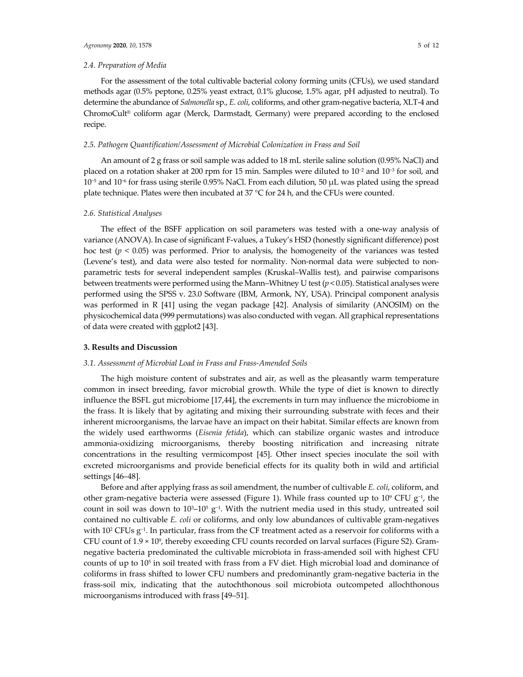# *2.4. Preparation of Media*

For the assessment of the total cultivable bacterial colony forming units (CFUs), we used standard methods agar (0.5% peptone, 0.25% yeast extract, 0.1% glucose, 1.5% agar, pH adjusted to neutral). To determine the abundance of *Salmonella* sp., *E. coli*, coliforms, and other gram‐negative bacteria, XLT‐4 and ChromoCult® coliform agar (Merck, Darmstadt, Germany) were prepared according to the enclosed recipe.

## *2.5. Pathogen Quantification/Assessment of Microbial Colonization in Frass and Soil*

An amount of 2 g frass or soil sample was added to 18 mL sterile saline solution (0.95% NaCl) and placed on a rotation shaker at 200 rpm for 15 min. Samples were diluted to 10−<sup>2</sup> and 10−<sup>3</sup> for soil, and 10−<sup>5</sup> and 10−<sup>6</sup> for frass using sterile 0.95% NaCl. From each dilution, 50 μL was plated using the spread plate technique. Plates were then incubated at 37  $^{\circ}$ C for 24 h, and the CFUs were counted.

#### *2.6. Statistical Analyses*

The effect of the BSFF application on soil parameters was tested with a one-way analysis of variance (ANOVA). In case of significant F‐values, a Tukey's HSD (honestly significant difference) post hoc test ( $p < 0.05$ ) was performed. Prior to analysis, the homogeneity of the variances was tested (Levene's test), and data were also tested for normality. Non‐normal data were subjected to non‐ parametric tests for several independent samples (Kruskal–Wallis test), and pairwise comparisons between treatments were performed using the Mann–Whitney U test (*p* < 0.05). Statistical analyses were performed using the SPSS v. 23.0 Software (IBM, Armonk, NY, USA). Principal component analysis was performed in R [41] using the vegan package [42]. Analysis of similarity (ANOSIM) on the physicochemical data (999 permutations) was also conducted with vegan. All graphical representations of data were created with ggplot2 [43].

### **3. Results and Discussion**

#### *3.1. Assessment of Microbial Load in Frass and Frass‐Amended Soils*

The high moisture content of substrates and air, as well as the pleasantly warm temperature common in insect breeding, favor microbial growth. While the type of diet is known to directly influence the BSFL gut microbiome [17,44], the excrements in turn may influence the microbiome in the frass. It is likely that by agitating and mixing their surrounding substrate with feces and their inherent microorganisms, the larvae have an impact on their habitat. Similar effects are known from the widely used earthworms (*Eisenia fetida*), which can stabilize organic wastes and introduce ammonia‐oxidizing microorganisms, thereby boosting nitrification and increasing nitrate concentrations in the resulting vermicompost [45]. Other insect species inoculate the soil with excreted microorganisms and provide beneficial effects for its quality both in wild and artificial settings [46–48].

Before and after applying frass as soil amendment, the number of cultivable *E. coli*, coliform, and other gram-negative bacteria were assessed (Figure 1). While frass counted up to 10<sup>9</sup> CFU  $g^{-1}$ , the count in soil was down to  $10^3-10^5$  g<sup>-1</sup>. With the nutrient media used in this study, untreated soil contained no cultivable *E. coli* or coliforms, and only low abundances of cultivable gram‐negatives with 10<sup>2</sup> CFUs g<sup>−1</sup>. In particular, frass from the CF treatment acted as a reservoir for coliforms with a CFU count of 1.9 × 109, thereby exceeding CFU counts recorded on larval surfaces (Figure S2). Gram‐ negative bacteria predominated the cultivable microbiota in frass-amended soil with highest CFU counts of up to 105 in soil treated with frass from a FV diet. High microbial load and dominance of coliforms in frass shifted to lower CFU numbers and predominantly gram‐negative bacteria in the frass‐soil mix, indicating that the autochthonous soil microbiota outcompeted allochthonous microorganisms introduced with frass [49–51].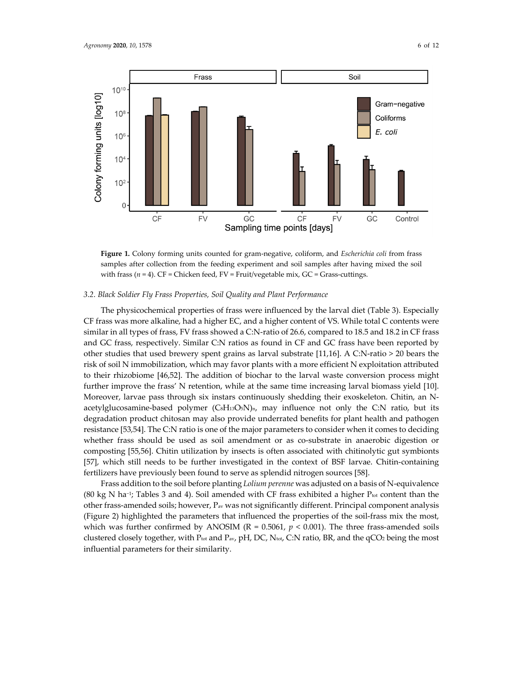

**Figure 1.** Colony forming units counted for gram‐negative, coliform, and *Escherichia coli* from frass samples after collection from the feeding experiment and soil samples after having mixed the soil with frass ( $n = 4$ ). CF = Chicken feed, FV = Fruit/vegetable mix, GC = Grass-cuttings.

#### *3.2. Black Soldier Fly Frass Properties, Soil Quality and Plant Performance*

The physicochemical properties of frass were influenced by the larval diet (Table 3). Especially CF frass was more alkaline, had a higher EC, and a higher content of VS. While total C contents were similar in all types of frass, FV frass showed a C:N-ratio of 26.6, compared to 18.5 and 18.2 in CF frass and GC frass, respectively. Similar C:N ratios as found in CF and GC frass have been reported by other studies that used brewery spent grains as larval substrate [11,16]. A C:N‐ratio > 20 bears the risk of soil N immobilization, which may favor plants with a more efficient N exploitation attributed to their rhizobiome [46,52]. The addition of biochar to the larval waste conversion process might further improve the frass' N retention, while at the same time increasing larval biomass yield [10]. Moreover, larvae pass through six instars continuously shedding their exoskeleton. Chitin, an N‐ acetylglucosamine-based polymer  $(CsH_{13}O_5N)_{n}$ , may influence not only the C:N ratio, but its degradation product chitosan may also provide underrated benefits for plant health and pathogen resistance [53,54]. The C:N ratio is one of the major parameters to consider when it comes to deciding whether frass should be used as soil amendment or as co-substrate in anaerobic digestion or composting [55,56]. Chitin utilization by insects is often associated with chitinolytic gut symbionts [57], which still needs to be further investigated in the context of BSF larvae. Chitin‐containing fertilizers have previously been found to serve as splendid nitrogen sources [58].

Frass addition to the soil before planting *Lolium perenne* was adjusted on a basis of N‐equivalence (80 kg N ha<sup>-1</sup>; Tables 3 and 4). Soil amended with CF frass exhibited a higher P<sub>tot</sub> content than the other frass-amended soils; however,  $P_{av}$  was not significantly different. Principal component analysis (Figure 2) highlighted the parameters that influenced the properties of the soil‐frass mix the most, which was further confirmed by ANOSIM ( $R = 0.5061$ ,  $p < 0.001$ ). The three frass-amended soils clustered closely together, with Ptot and Pav, pH, DC, Ntot, C:N ratio, BR, and the qCO2 being the most influential parameters for their similarity.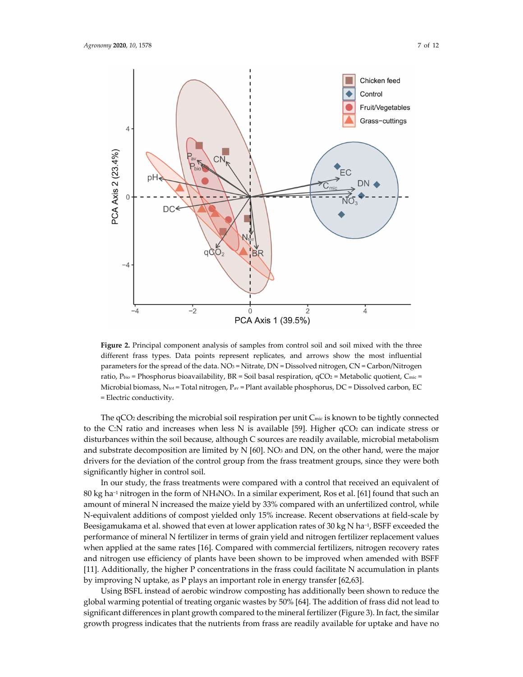

**Figure 2.** Principal component analysis of samples from control soil and soil mixed with the three different frass types. Data points represent replicates, and arrows show the most influential parameters for the spread of the data. NO<sub>3</sub> = Nitrate, DN = Dissolved nitrogen, CN = Carbon/Nitrogen ratio, Pbio = Phosphorus bioavailability,  $BR =$  Soil basal respiration,  $qCO$ <sub>2</sub> = Metabolic quotient, C<sub>mic</sub> = Microbial biomass, N<sub>tot</sub> = Total nitrogen, P<sub>av</sub> = Plant available phosphorus, DC = Dissolved carbon, EC = Electric conductivity.

The qCO2 describing the microbial soil respiration per unit Cmic is known to be tightly connected to the C:N ratio and increases when less N is available [59]. Higher  $qCO<sub>2</sub>$  can indicate stress or disturbances within the soil because, although C sources are readily available, microbial metabolism and substrate decomposition are limited by  $N$  [60]. NO<sub>3</sub> and DN, on the other hand, were the major drivers for the deviation of the control group from the frass treatment groups, since they were both significantly higher in control soil.

In our study, the frass treatments were compared with a control that received an equivalent of 80 kg ha−<sup>1</sup> nitrogen in the form of NH4NO3. In a similar experiment, Ros et al. [61] found that such an amount of mineral N increased the maize yield by 33% compared with an unfertilized control, while N‐equivalent additions of compost yielded only 15% increase. Recent observations at field‐scale by Beesigamukama et al. showed that even at lower application rates of 30 kg N ha<sup>-1</sup>, BSFF exceeded the performance of mineral N fertilizer in terms of grain yield and nitrogen fertilizer replacement values when applied at the same rates [16]. Compared with commercial fertilizers, nitrogen recovery rates and nitrogen use efficiency of plants have been shown to be improved when amended with BSFF [11]. Additionally, the higher P concentrations in the frass could facilitate N accumulation in plants by improving N uptake, as P plays an important role in energy transfer [62,63].

Using BSFL instead of aerobic windrow composting has additionally been shown to reduce the global warming potential of treating organic wastes by 50% [64]. The addition of frass did not lead to significant differences in plant growth compared to the mineral fertilizer (Figure 3). In fact, the similar growth progress indicates that the nutrients from frass are readily available for uptake and have no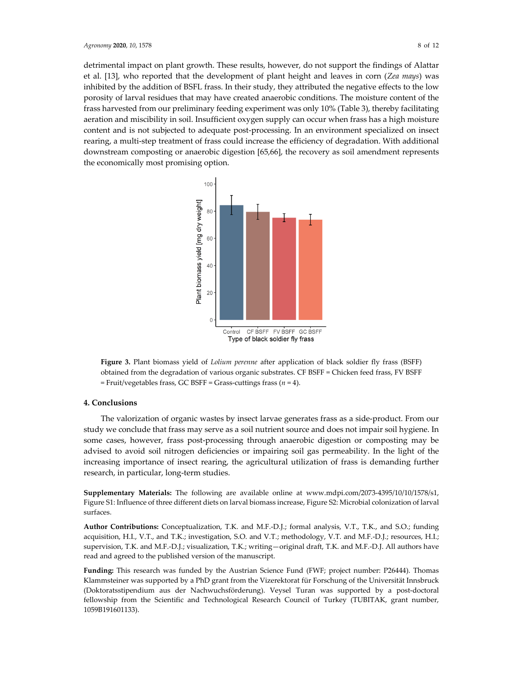detrimental impact on plant growth. These results, however, do not support the findings of Alattar et al. [13], who reported that the development of plant height and leaves in corn (*Zea mays*) was inhibited by the addition of BSFL frass. In their study, they attributed the negative effects to the low porosity of larval residues that may have created anaerobic conditions. The moisture content of the frass harvested from our preliminary feeding experiment was only 10% (Table 3), thereby facilitating aeration and miscibility in soil. Insufficient oxygen supply can occur when frass has a high moisture content and is not subjected to adequate post-processing. In an environment specialized on insect rearing, a multi‐step treatment of frass could increase the efficiency of degradation. With additional downstream composting or anaerobic digestion [65,66], the recovery as soil amendment represents the economically most promising option.



**Figure 3.** Plant biomass yield of *Lolium perenne* after application of black soldier fly frass (BSFF) obtained from the degradation of various organic substrates. CF BSFF = Chicken feed frass, FV BSFF = Fruit/vegetables frass, GC BSFF = Grass‐cuttings frass (*n* = 4).

## **4. Conclusions**

The valorization of organic wastes by insect larvae generates frass as a side‐product. From our study we conclude that frass may serve as a soil nutrient source and does not impair soil hygiene. In some cases, however, frass post-processing through anaerobic digestion or composting may be advised to avoid soil nitrogen deficiencies or impairing soil gas permeability. In the light of the increasing importance of insect rearing, the agricultural utilization of frass is demanding further research, in particular, long‐term studies.

**Supplementary Materials:** The following are available online at www.mdpi.com/2073‐4395/10/10/1578/s1, Figure S1: Influence of three different diets on larval biomass increase, Figure S2: Microbial colonization of larval surfaces.

**Author Contributions:** Conceptualization, T.K. and M.F.‐D.J.; formal analysis, V.T., T.K., and S.O.; funding acquisition, H.I., V.T., and T.K.; investigation, S.O. and V.T.; methodology, V.T. and M.F.‐D.J.; resources, H.I.; supervision, T.K. and M.F.-D.J.; visualization, T.K.; writing—original draft, T.K. and M.F.-D.J. All authors have read and agreed to the published version of the manuscript.

**Funding:** This research was funded by the Austrian Science Fund (FWF; project number: P26444). Thomas Klammsteiner was supported by a PhD grant from the Vizerektorat für Forschung of the Universität Innsbruck (Doktoratsstipendium aus der Nachwuchsförderung). Veysel Turan was supported by a post‐doctoral fellowship from the Scientific and Technological Research Council of Turkey (TUBITAK, grant number, 1059B191601133).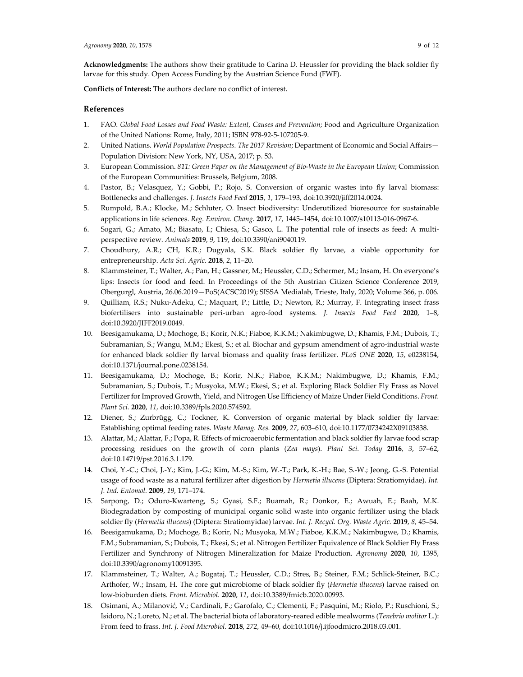**Conflicts of Interest:** The authors declare no conflict of interest.

# **References**

- 1. FAO. *Global Food Losses and Food Waste: Extent, Causes and Prevention*; Food and Agriculture Organization of the United Nations: Rome, Italy, 2011; ISBN 978‐92‐5‐107205‐9.
- 2. United Nations. *World Population Prospects. The 2017 Revision*; Department of Economic and Social Affairs— Population Division: New York, NY, USA, 2017; p. 53.
- 3. European Commission. *811: Green Paper on the Management of Bio‐Waste in the European Union*; Commission of the European Communities: Brussels, Belgium, 2008.
- 4. Pastor, B.; Velasquez, Y.; Gobbi, P.; Rojo, S. Conversion of organic wastes into fly larval biomass: Bottlenecks and challenges. *J. Insects Food Feed* **2015**, *1*, 179–193, doi:10.3920/jiff2014.0024.
- 5. Rumpold, B.A.; Klocke, M.; Schluter, O. Insect biodiversity: Underutilized bioresource for sustainable applications in life sciences. *Reg. Environ. Chang.* **2017**, *17*, 1445–1454, doi:10.1007/s10113‐016‐0967‐6.
- 6. Sogari, G.; Amato, M.; Biasato, I.; Chiesa, S.; Gasco, L. The potential role of insects as feed: A multi‐ perspective review. *Animals* **2019**, *9*, 119, doi:10.3390/ani9040119.
- 7. Choudhury, A.R.; CH, K.R.; Dugyala, S.K. Black soldier fly larvae, a viable opportunity for entrepreneurship. *Acta Sci. Agric.* **2018**, *2*, 11–20.
- 8. Klammsteiner, T.; Walter, A.; Pan, H.; Gassner, M.; Heussler, C.D.; Schermer, M.; Insam, H. On everyone's lips: Insects for food and feed. In Proceedings of the 5th Austrian Citizen Science Conference 2019, Obergurgl, Austria, 26.06.2019—PoS(ACSC2019); SISSA Medialab, Trieste, Italy, 2020; Volume 366, p. 006.
- 9. Quilliam, R.S.; Nuku-Adeku, C.; Maquart, P.; Little, D.; Newton, R.; Murray, F. Integrating insect frass biofertilisers into sustainable peri‐urban agro‐food systems. *J. Insects Food Feed* **2020**, 1–8, doi:10.3920/JIFF2019.0049.
- 10. Beesigamukama, D.; Mochoge, B.; Korir, N.K.; Fiaboe, K.K.M.; Nakimbugwe, D.; Khamis, F.M.; Dubois, T.; Subramanian, S.; Wangu, M.M.; Ekesi, S.; et al. Biochar and gypsum amendment of agro-industrial waste for enhanced black soldier fly larval biomass and quality frass fertilizer. *PLoS ONE* **2020**, *15*, e0238154, doi:10.1371/journal.pone.0238154.
- 11. Beesigamukama, D.; Mochoge, B.; Korir, N.K.; Fiaboe, K.K.M.; Nakimbugwe, D.; Khamis, F.M.; Subramanian, S.; Dubois, T.; Musyoka, M.W.; Ekesi, S.; et al. Exploring Black Soldier Fly Frass as Novel Fertilizer for Improved Growth, Yield, and Nitrogen Use Efficiency of Maize Under Field Conditions. *Front*. *Plant Sci.* **2020**, *11*, doi:10.3389/fpls.2020.574592.
- 12. Diener, S.; Zurbrügg, C.; Tockner, K. Conversion of organic material by black soldier fly larvae: Establishing optimal feeding rates. *Waste Manag. Res.* **2009**, *27*, 603–610, doi:10.1177/0734242X09103838.
- 13. Alattar, M.; Alattar, F.; Popa, R. Effects of microaerobic fermentation and black soldier fly larvae food scrap processing residues on the growth of corn plants (*Zea mays*). *Plant Sci. Today* **2016**, *3*, 57–62, doi:10.14719/pst.2016.3.1.179.
- 14. Choi, Y.‐C.; Choi, J.‐Y.; Kim, J.‐G.; Kim, M.‐S.; Kim, W.‐T.; Park, K.‐H.; Bae, S.‐W.; Jeong, G.‐S. Potential usage of food waste as a natural fertilizer after digestion by *Hermetia illucens* (Diptera: Stratiomyidae). *Int. J. Ind. Entomol.* **2009**, *19*, 171–174.
- 15. Sarpong, D.; Oduro‐Kwarteng, S.; Gyasi, S.F.; Buamah, R.; Donkor, E.; Awuah, E.; Baah, M.K. Biodegradation by composting of municipal organic solid waste into organic fertilizer using the black soldier fly (*Hermetia illucens*) (Diptera: Stratiomyidae) larvae. *Int. J. Recycl. Org. Waste Agric.* **2019**, *8*, 45–54.
- 16. Beesigamukama, D.; Mochoge, B.; Korir, N.; Musyoka, M.W.; Fiaboe, K.K.M.; Nakimbugwe, D.; Khamis, F.M.; Subramanian, S.; Dubois, T.; Ekesi, S.; et al. Nitrogen Fertilizer Equivalence of Black Soldier Fly Frass Fertilizer and Synchrony of Nitrogen Mineralization for Maize Production. *Agronomy* **2020**, *10*, 1395, doi:10.3390/agronomy10091395.
- 17. Klammsteiner, T.; Walter, A.; Bogataj, T.; Heussler, C.D.; Stres, B.; Steiner, F.M.; Schlick‐Steiner, B.C.; Arthofer, W.; Insam, H. The core gut microbiome of black soldier fly (*Hermetia illucens*) larvae raised on low‐bioburden diets. *Front. Microbiol.* **2020**, *11*, doi:10.3389/fmicb.2020.00993.
- 18. Osimani, A.; Milanović, V.; Cardinali, F.; Garofalo, C.; Clementi, F.; Pasquini, M.; Riolo, P.; Ruschioni, S.; Isidoro, N.; Loreto, N.; et al. The bacterial biota of laboratory‐reared edible mealworms (*Tenebrio molitor* L.): From feed to frass. *Int. J. Food Microbiol.* **2018**, *272*, 49–60, doi:10.1016/j.ijfoodmicro.2018.03.001.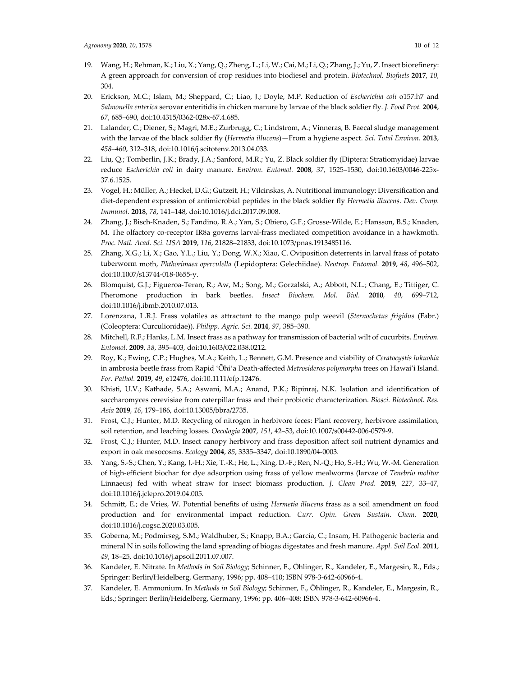- 19. Wang, H.; Rehman, K.; Liu, X.; Yang, Q.; Zheng, L.; Li, W.; Cai, M.; Li, Q.; Zhang, J.; Yu, Z. Insect biorefinery: A green approach for conversion of crop residues into biodiesel and protein. *Biotechnol. Biofuels* **2017**, *10*, 304.
- 20. Erickson, M.C.; Islam, M.; Sheppard, C.; Liao, J.; Doyle, M.P. Reduction of *Escherichia coli* o157:h7 and *Salmonella enterica* serovar enteritidis in chicken manure by larvae of the black soldier fly. *J. Food Prot.* **2004**, *67*, 685–690, doi:10.4315/0362‐028x‐67.4.685.
- 21. Lalander, C.; Diener, S.; Magri, M.E.; Zurbrugg, C.; Lindstrom, A.; Vinneras, B. Faecal sludge management with the larvae of the black soldier fly (*Hermetia illucens*)—From a hygiene aspect. *Sci. Total Environ.* **2013**, *458–460*, 312–318, doi:10.1016/j.scitotenv.2013.04.033.
- 22. Liu, Q.; Tomberlin, J.K.; Brady, J.A.; Sanford, M.R.; Yu, Z. Black soldier fly (Diptera: Stratiomyidae) larvae reduce *Escherichia coli* in dairy manure. *Environ. Entomol.* **2008**, *37*, 1525–1530, doi:10.1603/0046‐225x‐ 37.6.1525.
- 23. Vogel, H.; Müller, A.; Heckel, D.G.; Gutzeit, H.; Vilcinskas, A. Nutritional immunology: Diversification and diet‐dependent expression of antimicrobial peptides in the black soldier fly *Hermetia illucens*. *Dev. Comp. Immunol.* **2018**, *78*, 141–148, doi:10.1016/j.dci.2017.09.008.
- 24. Zhang, J.; Bisch‐Knaden, S.; Fandino, R.A.; Yan, S.; Obiero, G.F.; Grosse‐Wilde, E.; Hansson, B.S.; Knaden, M. The olfactory co-receptor IR8a governs larval-frass mediated competition avoidance in a hawkmoth. *Proc. Natl. Acad. Sci. USA* **2019**, *116*, 21828–21833, doi:10.1073/pnas.1913485116.
- 25. Zhang, X.G.; Li, X.; Gao, Y.L.; Liu, Y.; Dong, W.X.; Xiao, C. Oviposition deterrents in larval frass of potato tuberworm moth, *Phthorimaea operculella* (Lepidoptera: Gelechiidae). *Neotrop. Entomol.* **2019**, *48*, 496–502, doi:10.1007/s13744‐018‐0655‐y.
- 26. Blomquist, G.J.; Figueroa‐Teran, R.; Aw, M.; Song, M.; Gorzalski, A.; Abbott, N.L.; Chang, E.; Tittiger, C. Pheromone production in bark beetles. *Insect Biochem. Mol. Biol.* **2010**, *40*, 699–712, doi:10.1016/j.ibmb.2010.07.013.
- 27. Lorenzana, L.R.J. Frass volatiles as attractant to the mango pulp weevil (*Sternochetus frigidus* (Fabr.) (Coleoptera: Curculionidae)). *Philipp. Agric. Sci.* **2014**, *97*, 385–390.
- 28. Mitchell, R.F.; Hanks, L.M. Insect frass as a pathway for transmission of bacterial wilt of cucurbits. *Environ. Entomol.* **2009**, *38*, 395–403, doi:10.1603/022.038.0212.
- 29. Roy, K.; Ewing, C.P.; Hughes, M.A.; Keith, L.; Bennett, G.M. Presence and viability of *Ceratocystis lukuohia* in ambrosia beetle frass from Rapid ʻŌhiʻa Death‐affected *Metrosideros polymorpha* trees on Hawai'i Island. *For. Pathol.* **2019**, *49*, e12476, doi:10.1111/efp.12476.
- 30. Khisti, U.V.; Kathade, S.A.; Aswani, M.A.; Anand, P.K.; Bipinraj, N.K. Isolation and identification of saccharomyces cerevisiae from caterpillar frass and their probiotic characterization. *Biosci. Biotechnol. Res. Asia* **2019**, *16*, 179–186, doi:10.13005/bbra/2735.
- 31. Frost, C.J.; Hunter, M.D. Recycling of nitrogen in herbivore feces: Plant recovery, herbivore assimilation, soil retention, and leaching losses. *Oecologia* **2007**, *151*, 42–53, doi:10.1007/s00442‐006‐0579‐9.
- 32. Frost, C.J.; Hunter, M.D. Insect canopy herbivory and frass deposition affect soil nutrient dynamics and export in oak mesocosms. *Ecology* **2004**, *85*, 3335–3347, doi:10.1890/04‐0003.
- 33. Yang, S.‐S.; Chen, Y.; Kang, J.‐H.; Xie, T.‐R.; He, L.; Xing, D.‐F.; Ren, N.‐Q.; Ho, S.‐H.; Wu, W.‐M. Generation of high‐efficient biochar for dye adsorption using frass of yellow mealworms (larvae of *Tenebrio molitor* Linnaeus) fed with wheat straw for insect biomass production. *J. Clean Prod.* **2019**, *227*, 33–47, doi:10.1016/j.jclepro.2019.04.005.
- 34. Schmitt, E.; de Vries, W. Potential benefits of using *Hermetia illucens* frass as a soil amendment on food production and for environmental impact reduction. *Curr. Opin. Green Sustain. Chem.* **2020**, doi:10.1016/j.cogsc.2020.03.005.
- 35. Goberna, M.; Podmirseg, S.M.; Waldhuber, S.; Knapp, B.A.; García, C.; Insam, H. Pathogenic bacteria and mineral N in soils following the land spreading of biogas digestates and fresh manure. *Appl. Soil Ecol.* **2011**, *49*, 18–25, doi:10.1016/j.apsoil.2011.07.007.
- 36. Kandeler, E. Nitrate. In *Methods in Soil Biology*; Schinner, F., Öhlinger, R., Kandeler, E., Margesin, R., Eds.; Springer: Berlin/Heidelberg, Germany, 1996; pp. 408–410; ISBN 978‐3‐642‐60966‐4.
- 37. Kandeler, E. Ammonium. In *Methods in Soil Biology*; Schinner, F., Öhlinger, R., Kandeler, E., Margesin, R., Eds.; Springer: Berlin/Heidelberg, Germany, 1996; pp. 406–408; ISBN 978‐3‐642‐60966‐4.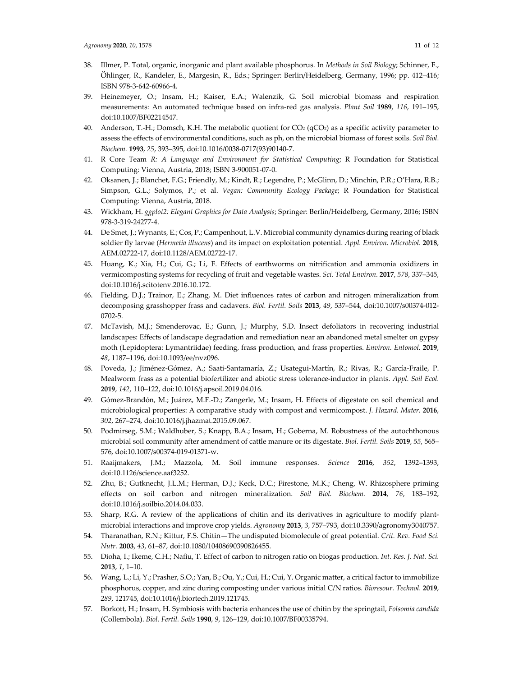- 38. Illmer, P. Total, organic, inorganic and plant available phosphorus. In *Methods in Soil Biology*; Schinner, F., Öhlinger, R., Kandeler, E., Margesin, R., Eds.; Springer: Berlin/Heidelberg, Germany, 1996; pp. 412–416; ISBN 978‐3‐642‐60966‐4.
- 39. Heinemeyer, O.; Insam, H.; Kaiser, E.A.; Walenzik, G. Soil microbial biomass and respiration measurements: An automated technique based on infra‐red gas analysis. *Plant Soil* **1989**, *116*, 191–195, doi:10.1007/BF02214547.
- 40. Anderson, T.-H.; Domsch, K.H. The metabolic quotient for  $CO<sub>2</sub>$  (qCO<sub>2</sub>) as a specific activity parameter to assess the effects of environmental conditions, such as ph, on the microbial biomass of forest soils. *Soil Biol. Biochem.* **1993**, *25*, 393–395, doi:10.1016/0038‐0717(93)90140‐7.
- 41. R Core Team *R: A Language and Environment for Statistical Computing*; R Foundation for Statistical Computing: Vienna, Austria, 2018; ISBN 3‐900051‐07‐0.
- 42. Oksanen, J.; Blanchet, F.G.; Friendly, M.; Kindt, R.; Legendre, P.; McGlinn, D.; Minchin, P.R.; O'Hara, R.B.; Simpson, G.L.; Solymos, P.; et al. *Vegan: Community Ecology Package*; R Foundation for Statistical Computing: Vienna, Austria, 2018.
- 43. Wickham, H. *ggplot2: Elegant Graphics for Data Analysis*; Springer: Berlin/Heidelberg, Germany, 2016; ISBN 978‐3‐319‐24277‐4.
- 44. De Smet, J.; Wynants, E.; Cos, P.; Campenhout, L.V. Microbial community dynamics during rearing of black soldier fly larvae (*Hermetia illucens*) and its impact on exploitation potential. *Appl. Environ. Microbiol.* **2018**, AEM.02722‐17, doi:10.1128/AEM.02722‐17.
- 45. Huang, K.; Xia, H.; Cui, G.; Li, F. Effects of earthworms on nitrification and ammonia oxidizers in vermicomposting systems for recycling of fruit and vegetable wastes. *Sci. Total Environ.* **2017**, *578*, 337–345, doi:10.1016/j.scitotenv.2016.10.172.
- 46. Fielding, D.J.; Trainor, E.; Zhang, M. Diet influences rates of carbon and nitrogen mineralization from decomposing grasshopper frass and cadavers. *Biol. Fertil. Soils* **2013**, *49*, 537–544, doi:10.1007/s00374‐012‐ 0702‐5.
- 47. McTavish, M.J.; Smenderovac, E.; Gunn, J.; Murphy, S.D. Insect defoliators in recovering industrial landscapes: Effects of landscape degradation and remediation near an abandoned metal smelter on gypsy moth (Lepidoptera: Lymantriidae) feeding, frass production, and frass properties. *Environ. Entomol.* **2019**, *48*, 1187–1196, doi:10.1093/ee/nvz096.
- 48. Poveda, J.; Jiménez‐Gómez, A.; Saati‐Santamaría, Z.; Usategui‐Martín, R.; Rivas, R.; García‐Fraile, P. Mealworm frass as a potential biofertilizer and abiotic stress tolerance‐inductor in plants. *Appl. Soil Ecol.* **2019**, *142*, 110–122, doi:10.1016/j.apsoil.2019.04.016.
- 49. Gómez‐Brandón, M.; Juárez, M.F.‐D.; Zangerle, M.; Insam, H. Effects of digestate on soil chemical and microbiological properties: A comparative study with compost and vermicompost. *J. Hazard. Mater.* **2016**, *302*, 267–274, doi:10.1016/j.jhazmat.2015.09.067.
- 50. Podmirseg, S.M.; Waldhuber, S.; Knapp, B.A.; Insam, H.; Goberna, M. Robustness of the autochthonous microbial soil community after amendment of cattle manure or its digestate. *Biol. Fertil. Soils* **2019**, *55*, 565– 576, doi:10.1007/s00374‐019‐01371‐w.
- 51. Raaijmakers, J.M.; Mazzola, M. Soil immune responses. *Science* **2016**, *352*, 1392–1393, doi:10.1126/science.aaf3252.
- 52. Zhu, B.; Gutknecht, J.L.M.; Herman, D.J.; Keck, D.C.; Firestone, M.K.; Cheng, W. Rhizosphere priming effects on soil carbon and nitrogen mineralization. *Soil Biol. Biochem.* **2014**, *76*, 183–192, doi:10.1016/j.soilbio.2014.04.033.
- 53. Sharp, R.G. A review of the applications of chitin and its derivatives in agriculture to modify plant‐ microbial interactions and improve crop yields. *Agronomy* **2013**, *3*, 757–793, doi:10.3390/agronomy3040757.
- 54. Tharanathan, R.N.; Kittur, F.S. Chitin—The undisputed biomolecule of great potential. *Crit. Rev. Food Sci. Nutr.* **2003**, *43*, 61–87, doi:10.1080/10408690390826455.
- 55. Dioha, I.; Ikeme, C.H.; Nafiu, T. Effect of carbon to nitrogen ratio on biogas production. *Int. Res. J. Nat. Sci.* **2013**, *1*, 1–10.
- 56. Wang, L.; Li, Y.; Prasher, S.O.; Yan, B.; Ou, Y.; Cui, H.; Cui, Y. Organic matter, a critical factor to immobilize phosphorus, copper, and zinc during composting under various initial C/N ratios. *Bioresour. Technol.* **2019**, *289*, 121745, doi:10.1016/j.biortech.2019.121745.
- 57. Borkott, H.; Insam, H. Symbiosis with bacteria enhances the use of chitin by the springtail, *Folsomia candida* (Collembola). *Biol. Fertil. Soils* **1990**, *9*, 126–129, doi:10.1007/BF00335794.